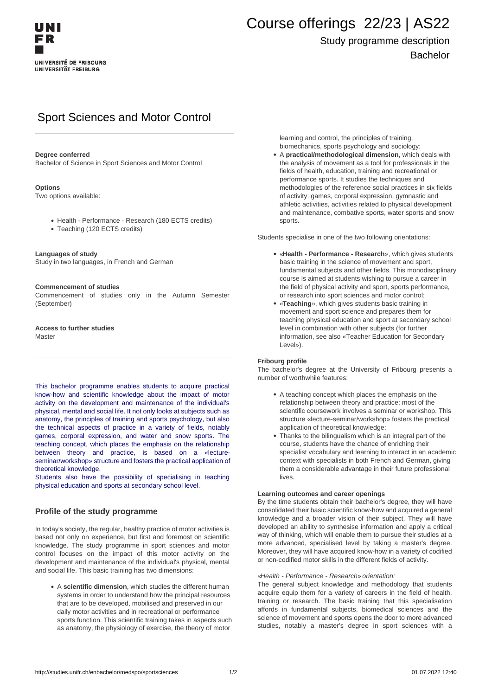# Course offerings 22/23 | AS22

## Study programme description Bachelor

# Sport Sciences and Motor Control

#### **Degree conferred**

Bachelor of Science in Sport Sciences and Motor Control

#### **Options**

Two options available:

- Health Performance Research (180 ECTS credits)
- Teaching (120 ECTS credits)

#### **Languages of study**

Study in two languages, in French and German

#### **Commencement of studies**

Commencement of studies only in the Autumn Semester (September)

**Access to further studies Master** 

This bachelor programme enables students to acquire practical know-how and scientific knowledge about the impact of motor activity on the development and maintenance of the individual's physical, mental and social life. It not only looks at subjects such as anatomy, the principles of training and sports psychology, but also the technical aspects of practice in a variety of fields, notably games, corporal expression, and water and snow sports. The teaching concept, which places the emphasis on the relationship between theory and practice, is based on a «lectureseminar/workshop» structure and fosters the practical application of theoretical knowledge.

Students also have the possibility of specialising in teaching physical education and sports at secondary school level.

### **Profile of the study programme**

In today's society, the regular, healthy practice of motor activities is based not only on experience, but first and foremost on scientific knowledge. The study programme in sport sciences and motor control focuses on the impact of this motor activity on the development and maintenance of the individual's physical, mental and social life. This basic training has two dimensions:

A **scientific dimension**, which studies the different human systems in order to understand how the principal resources that are to be developed, mobilised and preserved in our daily motor activities and in recreational or performance sports function. This scientific training takes in aspects such as anatomy, the physiology of exercise, the theory of motor

learning and control, the principles of training, biomechanics, sports psychology and sociology;

A **practical/methodological dimension**, which deals with the analysis of movement as a tool for professionals in the fields of health, education, training and recreational or performance sports. It studies the techniques and methodologies of the reference social practices in six fields of activity: games, corporal expression, gymnastic and athletic activities, activities related to physical development and maintenance, combative sports, water sports and snow sports.

Students specialise in one of the two following orientations:

- «**Health Performance Research**», which gives students basic training in the science of movement and sport, fundamental subjects and other fields. This monodisciplinary course is aimed at students wishing to pursue a career in the field of physical activity and sport, sports performance, or research into sport sciences and motor control;
- «**Teaching**», which gives students basic training in movement and sport science and prepares them for teaching physical education and sport at secondary school level in combination with other subjects (for further information, see also «Teacher Education for Secondary Level»).

#### **Fribourg profile**

The bachelor's degree at the University of Fribourg presents a number of worthwhile features:

- A teaching concept which places the emphasis on the relationship between theory and practice: most of the scientific coursework involves a seminar or workshop. This structure «lecture-seminar/workshop» fosters the practical application of theoretical knowledge;
- Thanks to the bilingualism which is an integral part of the course, students have the chance of enriching their specialist vocabulary and learning to interact in an academic context with specialists in both French and German, giving them a considerable advantage in their future professional lives.

#### **Learning outcomes and career openings**

By the time students obtain their bachelor's degree, they will have consolidated their basic scientific know-how and acquired a general knowledge and a broader vision of their subject. They will have developed an ability to synthesise information and apply a critical way of thinking, which will enable them to pursue their studies at a more advanced, specialised level by taking a master's degree. Moreover, they will have acquired know-how in a variety of codified or non-codified motor skills in the different fields of activity.

#### «Health - Performance - Research» orientation:

The general subject knowledge and methodology that students acquire equip them for a variety of careers in the field of health, training or research. The basic training that this specialisation affords in fundamental subjects, biomedical sciences and the science of movement and sports opens the door to more advanced studies, notably a master's degree in sport sciences with a